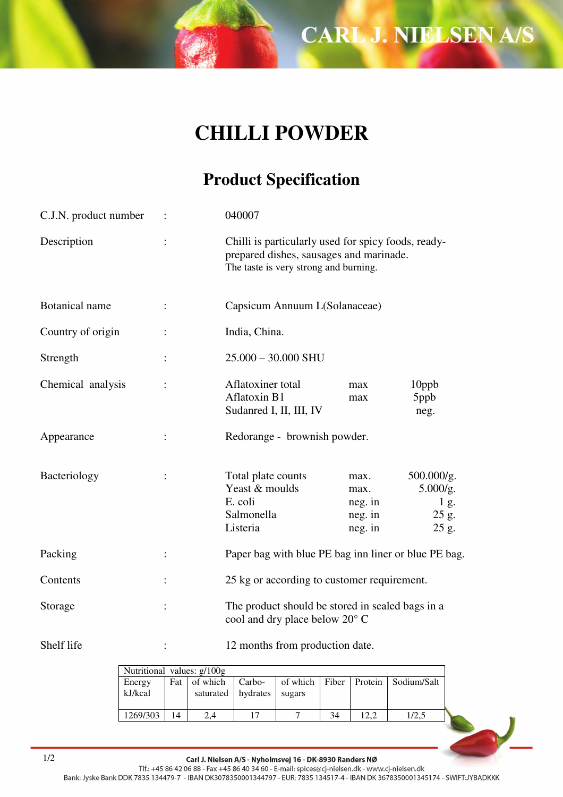**CARL J. NIELSEN A/S** 

## **CHILLI POWDER**

## **Product Specification**

| C.J.N. product number |                            | 040007                                                                    |                                                                                                                                         |                                                  |  |  |  |  |
|-----------------------|----------------------------|---------------------------------------------------------------------------|-----------------------------------------------------------------------------------------------------------------------------------------|--------------------------------------------------|--|--|--|--|
| Description           |                            |                                                                           | Chilli is particularly used for spicy foods, ready-<br>prepared dishes, sausages and marinade.<br>The taste is very strong and burning. |                                                  |  |  |  |  |
| Botanical name        |                            |                                                                           | Capsicum Annuum L(Solanaceae)                                                                                                           |                                                  |  |  |  |  |
| Country of origin     |                            | India, China.                                                             |                                                                                                                                         |                                                  |  |  |  |  |
| Strength              |                            | $25.000 - 30.000$ SHU                                                     |                                                                                                                                         |                                                  |  |  |  |  |
| Chemical analysis     |                            | Aflatoxiner total<br><b>Aflatoxin B1</b><br>Sudanred I, II, III, IV       | max<br>max                                                                                                                              | 10ppb<br>5ppb<br>neg.                            |  |  |  |  |
| Appearance            |                            |                                                                           | Redorange - brownish powder.                                                                                                            |                                                  |  |  |  |  |
| Bacteriology          |                            | Total plate counts<br>Yeast & moulds<br>E. coli<br>Salmonella<br>Listeria | max.<br>max.<br>neg. in<br>neg. in<br>neg. in                                                                                           | 500.000/g.<br>5.000/g.<br>1 g.<br>25 g.<br>25 g. |  |  |  |  |
| Packing               |                            |                                                                           | Paper bag with blue PE bag inn liner or blue PE bag.                                                                                    |                                                  |  |  |  |  |
| Contents              |                            |                                                                           | 25 kg or according to customer requirement.                                                                                             |                                                  |  |  |  |  |
| Storage               |                            |                                                                           | The product should be stored in sealed bags in a<br>cool and dry place below 20° C                                                      |                                                  |  |  |  |  |
| Shelf life            |                            |                                                                           | 12 months from production date.                                                                                                         |                                                  |  |  |  |  |
|                       | Nutritional values: g/100g |                                                                           |                                                                                                                                         |                                                  |  |  |  |  |

| Nutritional values: g/100g |       |                      |        |        |    |      |                                          |  |
|----------------------------|-------|----------------------|--------|--------|----|------|------------------------------------------|--|
| Energy                     | Fat 1 | of which             | Carbo- |        |    |      | of which   Fiber   Protein   Sodium/Salt |  |
| kJ/kcal                    |       | saturated   hydrates |        | sugars |    |      |                                          |  |
| 1269/303                   | 14    | 2.4                  |        |        | 34 | 12.2 |                                          |  |
|                            |       |                      |        |        |    |      |                                          |  |

Carl J. Nielsen A/S - Nyholmsvej 16 - DK-8930 Randers NØ